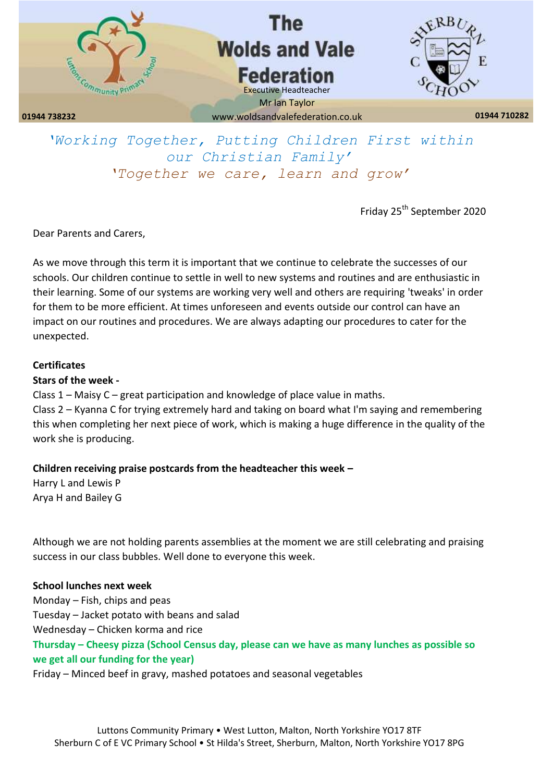

# *'Working Together, Putting Children First within our Christian Family' 'Together we care, learn and grow'*

Friday 25th September 2020

Dear Parents and Carers,

As we move through this term it is important that we continue to celebrate the successes of our schools. Our children continue to settle in well to new systems and routines and are enthusiastic in their learning. Some of our systems are working very well and others are requiring 'tweaks' in order for them to be more efficient. At times unforeseen and events outside our control can have an impact on our routines and procedures. We are always adapting our procedures to cater for the unexpected.

### **Certificates**

## **Stars of the week -**

Class 1 – Maisy C – great participation and knowledge of place value in maths. Class 2 – Kyanna C for trying extremely hard and taking on board what I'm saying and remembering this when completing her next piece of work, which is making a huge difference in the quality of the work she is producing.

## **Children receiving praise postcards from the headteacher this week –**

Harry L and Lewis P Arya H and Bailey G

Although we are not holding parents assemblies at the moment we are still celebrating and praising success in our class bubbles. Well done to everyone this week.

## **School lunches next week**

Monday – Fish, chips and peas Tuesday – Jacket potato with beans and salad Wednesday – Chicken korma and rice **Thursday – Cheesy pizza (School Census day, please can we have as many lunches as possible so we get all our funding for the year)**

Friday – Minced beef in gravy, mashed potatoes and seasonal vegetables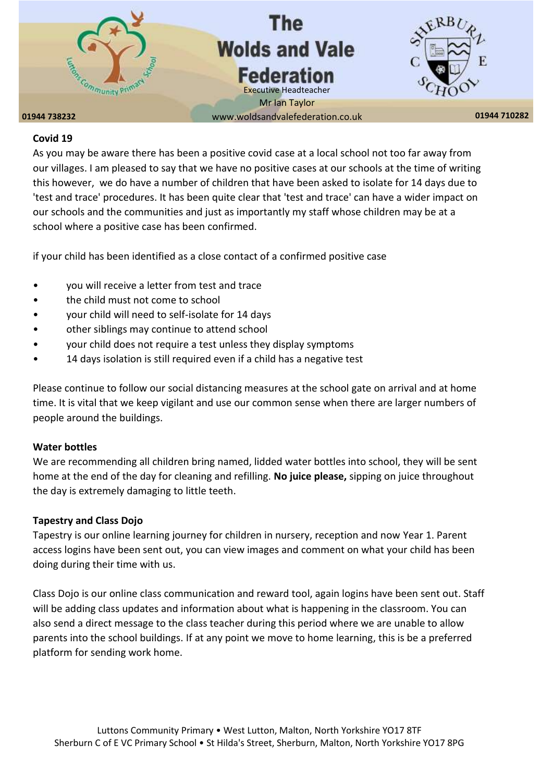

#### **Covid 19**

As you may be aware there has been a positive covid case at a local school not too far away from our villages. I am pleased to say that we have no positive cases at our schools at the time of writing this however, we do have a number of children that have been asked to isolate for 14 days due to 'test and trace' procedures. It has been quite clear that 'test and trace' can have a wider impact on our schools and the communities and just as importantly my staff whose children may be at a school where a positive case has been confirmed.

if your child has been identified as a close contact of a confirmed positive case

- you will receive a letter from test and trace
- the child must not come to school
- your child will need to self-isolate for 14 days
- other siblings may continue to attend school
- your child does not require a test unless they display symptoms
- 14 days isolation is still required even if a child has a negative test

Please continue to follow our social distancing measures at the school gate on arrival and at home time. It is vital that we keep vigilant and use our common sense when there are larger numbers of people around the buildings.

#### **Water bottles**

We are recommending all children bring named, lidded water bottles into school, they will be sent home at the end of the day for cleaning and refilling. **No juice please,** sipping on juice throughout the day is extremely damaging to little teeth.

#### **Tapestry and Class Dojo**

Tapestry is our online learning journey for children in nursery, reception and now Year 1. Parent access logins have been sent out, you can view images and comment on what your child has been doing during their time with us.

Class Dojo is our online class communication and reward tool, again logins have been sent out. Staff will be adding class updates and information about what is happening in the classroom. You can also send a direct message to the class teacher during this period where we are unable to allow parents into the school buildings. If at any point we move to home learning, this is be a preferred platform for sending work home.